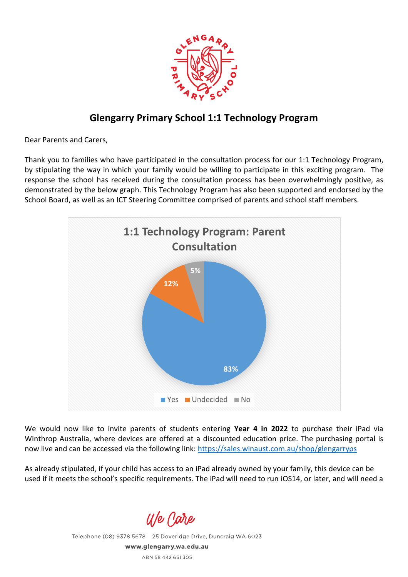

## **Glengarry Primary School 1:1 Technology Program**

Dear Parents and Carers,

Thank you to families who have participated in the consultation process for our 1:1 Technology Program, by stipulating the way in which your family would be willing to participate in this exciting program. The response the school has received during the consultation process has been overwhelmingly positive, as demonstrated by the below graph. This Technology Program has also been supported and endorsed by the School Board, as well as an ICT Steering Committee comprised of parents and school staff members.



We would now like to invite parents of students entering **Year 4 in 2022** to purchase their iPad via Winthrop Australia, where devices are offered at a discounted education price. The purchasing portal is now live and can be accessed via the following link: [https://sales.winaust.com.au/shop/glengarryps](https://aus01.safelinks.protection.outlook.com/?url=https%3A%2F%2Fsales.winaust.com.au%2Fshop%2Fglengarryps&data=04%7C01%7Channah.cole%40education.wa.edu.au%7C16f569d88bcc4723779808d95bc80eff%7Ce08016f9d1fd4cbb83b0b76eb4361627%7C0%7C0%7C637641737072507853%7CUnknown%7CTWFpbGZsb3d8eyJWIjoiMC4wLjAwMDAiLCJQIjoiV2luMzIiLCJBTiI6Ik1haWwiLCJXVCI6Mn0%3D%7C1000&sdata=1GdfVujG20ZB7nILYG33515m5ysiXdAoq7vhktMRcMs%3D&reserved=0)

As already stipulated, if your child has access to an iPad already owned by your family, this device can be used if it meets the school's specific requirements. The iPad will need to run iOS14, or later, and will need a

U/e Care

Telephone (08) 9378 5678 25 Doveridge Drive, Duncraig WA 6023 www.glengarry.wa.edu.au ABN 58 442 651 305